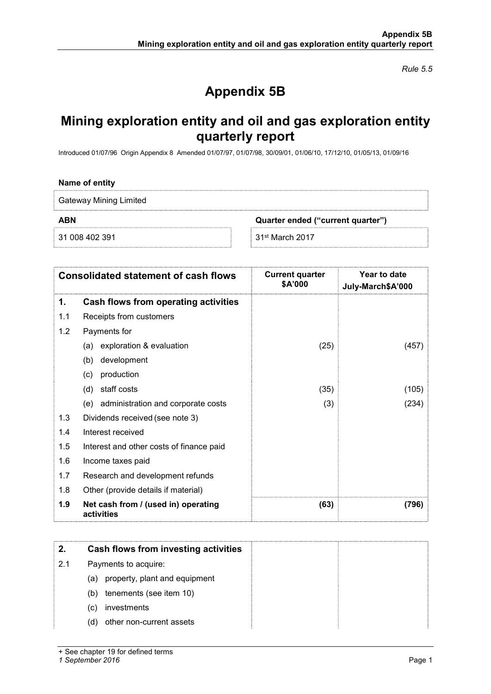Rule 5.5

# Appendix 5B

# Mining exploration entity and oil and gas exploration entity quarterly report

Introduced 01/07/96 Origin Appendix 8 Amended 01/07/97, 01/07/98, 30/09/01, 01/06/10, 17/12/10, 01/05/13, 01/09/16

#### Name of entity

Gateway Mining Limited

ABN Quarter ended ("current quarter")

31 008 402 391 31st March 2017

| <b>Consolidated statement of cash flows</b> |                                                   | <b>Current quarter</b><br>\$A'000 | Year to date<br>July-March\$A'000 |  |
|---------------------------------------------|---------------------------------------------------|-----------------------------------|-----------------------------------|--|
| 1.                                          | Cash flows from operating activities              |                                   |                                   |  |
| 1.1                                         | Receipts from customers                           |                                   |                                   |  |
| 1.2                                         | Payments for                                      |                                   |                                   |  |
|                                             | exploration & evaluation<br>(a)                   | (25)                              | (457)                             |  |
|                                             | development<br>(b)                                |                                   |                                   |  |
|                                             | (c)<br>production                                 |                                   |                                   |  |
|                                             | staff costs<br>(d)                                | (35)                              | (105)                             |  |
|                                             | (e) administration and corporate costs            | (3)                               | (234)                             |  |
| 1.3                                         | Dividends received (see note 3)                   |                                   |                                   |  |
| 1.4                                         | Interest received                                 |                                   |                                   |  |
| 1.5                                         | Interest and other costs of finance paid          |                                   |                                   |  |
| 1.6                                         | Income taxes paid                                 |                                   |                                   |  |
| 1.7                                         | Research and development refunds                  |                                   |                                   |  |
| 1.8                                         | Other (provide details if material)               |                                   |                                   |  |
| 1.9                                         | Net cash from / (used in) operating<br>activities | (63)                              | (796)                             |  |

| 2.  | Cash flows from investing activities |  |
|-----|--------------------------------------|--|
| 2.1 | Payments to acquire:                 |  |
|     | (a) property, plant and equipment    |  |
|     | tenements (see item 10)<br>(b)       |  |
|     | investments<br>(C)                   |  |
|     | other non-current assets<br>(d)      |  |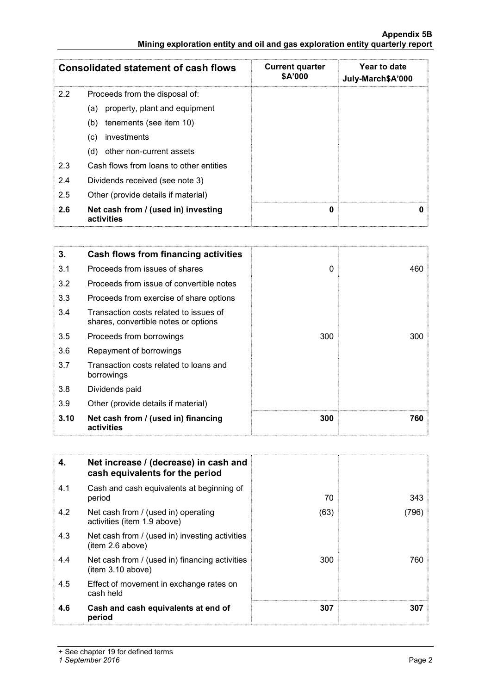### Appendix 5B Mining exploration entity and oil and gas exploration entity quarterly report

| <b>Consolidated statement of cash flows</b>              |                                         | <b>Current quarter</b><br>\$A'000 | Year to date<br>July-March\$A'000 |
|----------------------------------------------------------|-----------------------------------------|-----------------------------------|-----------------------------------|
| 2.2                                                      | Proceeds from the disposal of:          |                                   |                                   |
|                                                          | property, plant and equipment<br>(a)    |                                   |                                   |
|                                                          | tenements (see item 10)<br>(b)          |                                   |                                   |
|                                                          | investments<br>(c)                      |                                   |                                   |
|                                                          | other non-current assets<br>(d)         |                                   |                                   |
| 2.3                                                      | Cash flows from loans to other entities |                                   |                                   |
| 2.4                                                      | Dividends received (see note 3)         |                                   |                                   |
| 2.5                                                      | Other (provide details if material)     |                                   |                                   |
| 2.6<br>Net cash from / (used in) investing<br>activities |                                         | 0                                 | n                                 |

| 3.   | <b>Cash flows from financing activities</b>                                    |          |     |
|------|--------------------------------------------------------------------------------|----------|-----|
| 3.1  | Proceeds from issues of shares                                                 | $\Omega$ | 460 |
| 3.2  | Proceeds from issue of convertible notes                                       |          |     |
| 3.3  | Proceeds from exercise of share options                                        |          |     |
| 3.4  | Transaction costs related to issues of<br>shares, convertible notes or options |          |     |
| 3.5  | Proceeds from borrowings                                                       | 300      | 300 |
| 3.6  | Repayment of borrowings                                                        |          |     |
| 3.7  | Transaction costs related to loans and<br>borrowings                           |          |     |
| 3.8  | Dividends paid                                                                 |          |     |
| 3.9  | Other (provide details if material)                                            |          |     |
| 3.10 | Net cash from / (used in) financing<br>activities                              | 300      | 760 |

| 4.  | Net increase / (decrease) in cash and<br>cash equivalents for the period |      |       |
|-----|--------------------------------------------------------------------------|------|-------|
| 4.1 | Cash and cash equivalents at beginning of<br>period                      | 70   | 343   |
| 4.2 | Net cash from / (used in) operating<br>activities (item 1.9 above)       | (63) | (796) |
| 4.3 | Net cash from / (used in) investing activities<br>item 2.6 above)        |      |       |
| 4.4 | Net cash from / (used in) financing activities<br>(item 3.10 above)      | 300  | 760   |
| 4.5 | Effect of movement in exchange rates on<br>cash held                     |      |       |
| 4.6 | Cash and cash equivalents at end of<br>period                            | 307  | 307   |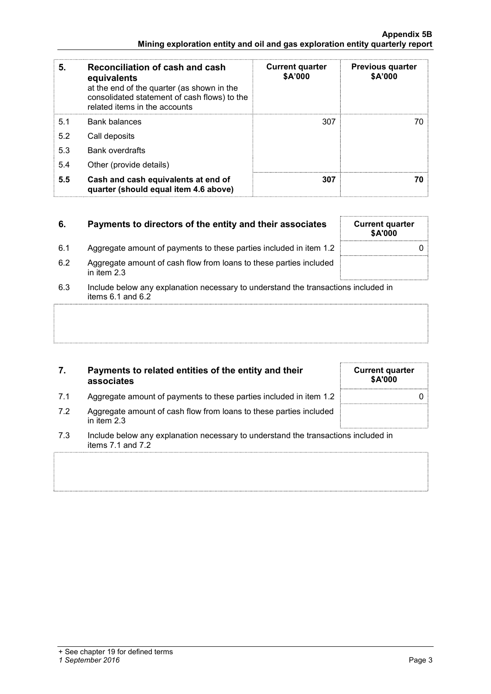#### Appendix 5B Mining exploration entity and oil and gas exploration entity quarterly report

| 5.  | Reconciliation of cash and cash<br>equivalents<br>at the end of the quarter (as shown in the<br>consolidated statement of cash flows) to the<br>related items in the accounts | <b>Current quarter</b><br>\$A'000 | <b>Previous quarter</b><br>\$A'000 |
|-----|-------------------------------------------------------------------------------------------------------------------------------------------------------------------------------|-----------------------------------|------------------------------------|
| 5.1 | <b>Bank balances</b>                                                                                                                                                          | 307                               | 70                                 |
| 5.2 | Call deposits                                                                                                                                                                 |                                   |                                    |
| 5.3 | <b>Bank overdrafts</b>                                                                                                                                                        |                                   |                                    |
| 5.4 | Other (provide details)                                                                                                                                                       |                                   |                                    |
| 5.5 | Cash and cash equivalents at end of<br>quarter (should equal item 4.6 above)                                                                                                  | 307                               | 70                                 |

# 6. Payments to directors of the entity and their associates

- 6.1 Aggregate amount of payments to these parties included in item 1.2 0
- 6.2 Aggregate amount of cash flow from loans to these parties included in item 2.3
- 6.3 Include below any explanation necessary to understand the transactions included in items  $6.1$  and  $6.2$

## 7. Payments to related entities of the entity and their associates

- 7.1 Aggregate amount of payments to these parties included in item 1.2 0
- 7.2 Aggregate amount of cash flow from loans to these parties included in item 2.3
- 7.3 Include below any explanation necessary to understand the transactions included in items 7.1 and 7.2

| <b>Current quarter</b><br>\$A'000 |  |
|-----------------------------------|--|
|                                   |  |
|                                   |  |

| <b>Current quarter</b><br>\$A'000 |  |
|-----------------------------------|--|
| O                                 |  |
|                                   |  |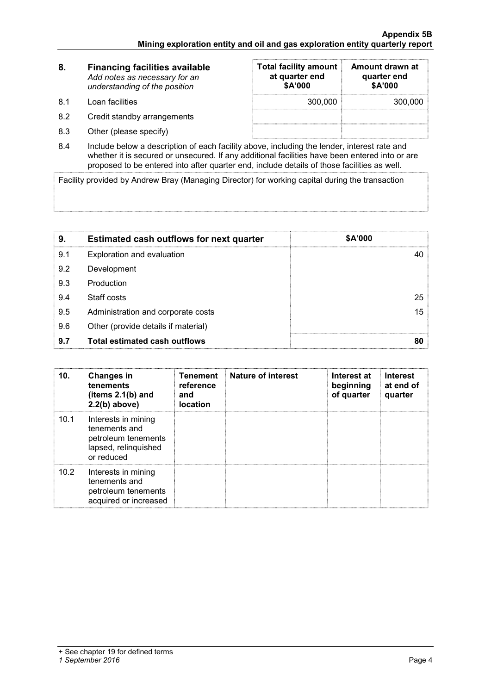| 8.   | <b>Financing facilities available</b><br>Add notes as necessary for an<br>understanding of the position | <b>Total facility amount</b><br>at quarter end<br>\$A'000 | Amount drawn at<br>quarter end<br>\$A'000 |  |
|------|---------------------------------------------------------------------------------------------------------|-----------------------------------------------------------|-------------------------------------------|--|
| -8.1 | Loan facilities                                                                                         | 300,000                                                   | 300,000                                   |  |
| 8.2  | Credit standby arrangements                                                                             |                                                           |                                           |  |
| 8.3  | Other (please specify)                                                                                  |                                                           |                                           |  |

8.4 Include below a description of each facility above, including the lender, interest rate and whether it is secured or unsecured. If any additional facilities have been entered into or are proposed to be entered into after quarter end, include details of those facilities as well.

Facility provided by Andrew Bray (Managing Director) for working capital during the transaction

| 9.  | <b>Estimated cash outflows for next quarter</b> | <b>\$A'000</b> |
|-----|-------------------------------------------------|----------------|
| 9.1 | Exploration and evaluation                      |                |
| 9.2 | Development                                     |                |
| 9.3 | Production                                      |                |
| 9.4 | Staff costs                                     | 25             |
| 9.5 | Administration and corporate costs              | 15             |
| 9.6 | Other (provide details if material)             |                |
| 9.7 | <b>Total estimated cash outflows</b>            | 80             |

| 10.  | <b>Changes in</b><br>tenements<br>(items $2.1(b)$ and<br>$2.2(b)$ above)                          | <b>Tenement</b><br>reference<br>and<br>location | <b>Nature of interest</b> | Interest at<br>beginning<br>of quarter | <b>Interest</b><br>at end of<br>quarter |
|------|---------------------------------------------------------------------------------------------------|-------------------------------------------------|---------------------------|----------------------------------------|-----------------------------------------|
| 10.1 | Interests in mining<br>tenements and<br>petroleum tenements<br>lapsed, relinquished<br>or reduced |                                                 |                           |                                        |                                         |
| 10.2 | Interests in mining<br>tenements and<br>petroleum tenements<br>acquired or increased              |                                                 |                           |                                        |                                         |